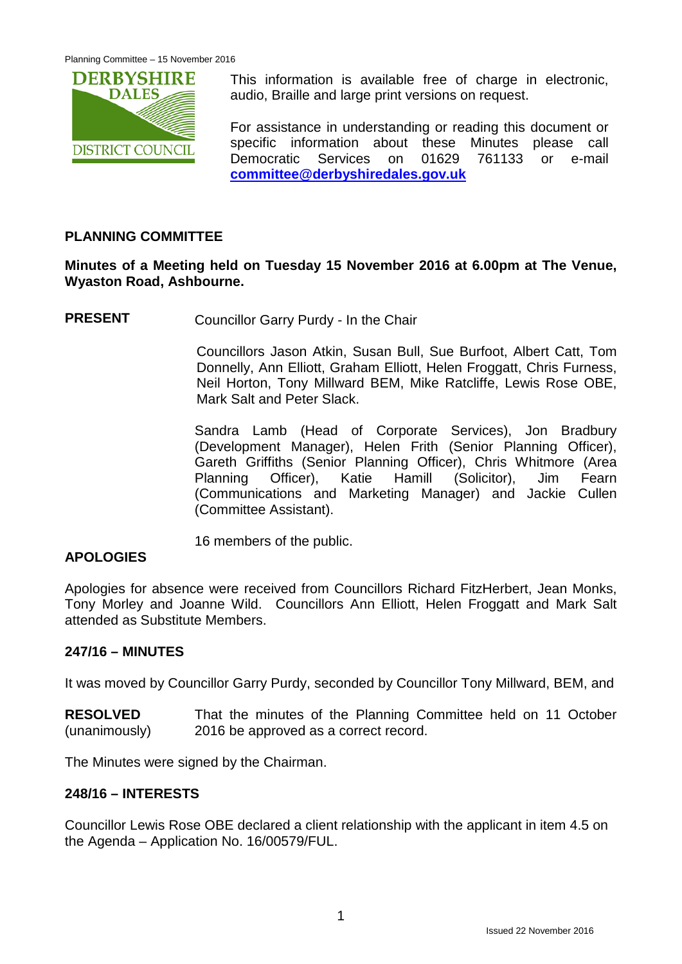

This information is available free of charge in electronic, audio, Braille and large print versions on request.

For assistance in understanding or reading this document or specific information about these Minutes please call Democratic Services on 01629 761133 or e-mail **[committee@derbyshiredales.gov.uk](mailto:committee@derbyshiredales.gov.uk)**

## **PLANNING COMMITTEE**

## **Minutes of a Meeting held on Tuesday 15 November 2016 at 6.00pm at The Venue, Wyaston Road, Ashbourne.**

**PRESENT** Councillor Garry Purdy - In the Chair

Councillors Jason Atkin, Susan Bull, Sue Burfoot, Albert Catt, Tom Donnelly, Ann Elliott, Graham Elliott, Helen Froggatt, Chris Furness, Neil Horton, Tony Millward BEM, Mike Ratcliffe, Lewis Rose OBE, Mark Salt and Peter Slack.

Sandra Lamb (Head of Corporate Services), Jon Bradbury (Development Manager), Helen Frith (Senior Planning Officer), Gareth Griffiths (Senior Planning Officer), Chris Whitmore (Area Planning Officer), Katie Hamill (Solicitor), Jim Fearn (Communications and Marketing Manager) and Jackie Cullen (Committee Assistant).

16 members of the public.

#### **APOLOGIES**

Apologies for absence were received from Councillors Richard FitzHerbert, Jean Monks, Tony Morley and Joanne Wild. Councillors Ann Elliott, Helen Froggatt and Mark Salt attended as Substitute Members.

#### **247/16 – MINUTES**

It was moved by Councillor Garry Purdy, seconded by Councillor Tony Millward, BEM, and

**RESOLVED** (unanimously) That the minutes of the Planning Committee held on 11 October 2016 be approved as a correct record.

The Minutes were signed by the Chairman.

#### **248/16 – INTERESTS**

Councillor Lewis Rose OBE declared a client relationship with the applicant in item 4.5 on the Agenda – Application No. 16/00579/FUL.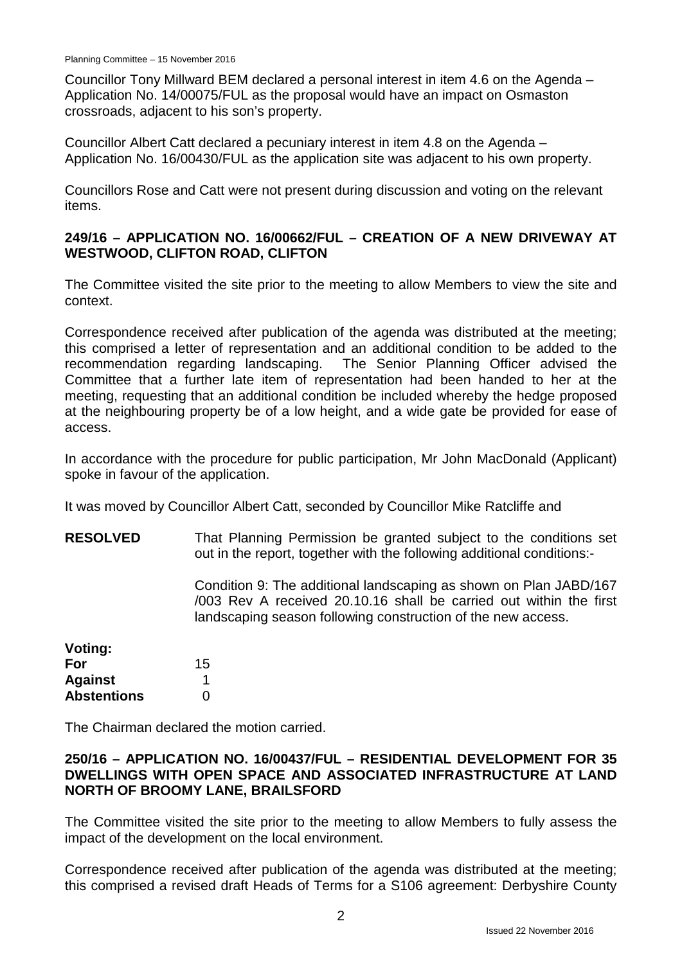Councillor Tony Millward BEM declared a personal interest in item 4.6 on the Agenda – Application No. 14/00075/FUL as the proposal would have an impact on Osmaston crossroads, adjacent to his son's property.

Councillor Albert Catt declared a pecuniary interest in item 4.8 on the Agenda – Application No. 16/00430/FUL as the application site was adjacent to his own property.

Councillors Rose and Catt were not present during discussion and voting on the relevant items.

## **249/16 – APPLICATION NO. 16/00662/FUL – CREATION OF A NEW DRIVEWAY AT WESTWOOD, CLIFTON ROAD, CLIFTON**

The Committee visited the site prior to the meeting to allow Members to view the site and context.

Correspondence received after publication of the agenda was distributed at the meeting; this comprised a letter of representation and an additional condition to be added to the recommendation regarding landscaping. The Senior Planning Officer advised the Committee that a further late item of representation had been handed to her at the meeting, requesting that an additional condition be included whereby the hedge proposed at the neighbouring property be of a low height, and a wide gate be provided for ease of access.

In accordance with the procedure for public participation, Mr John MacDonald (Applicant) spoke in favour of the application.

It was moved by Councillor Albert Catt, seconded by Councillor Mike Ratcliffe and

**RESOLVED** That Planning Permission be granted subject to the conditions set out in the report, together with the following additional conditions:-

> Condition 9: The additional landscaping as shown on Plan JABD/167 /003 Rev A received 20.10.16 shall be carried out within the first landscaping season following construction of the new access.

| Voting:            |    |
|--------------------|----|
| For                | 15 |
| <b>Against</b>     | 1  |
| <b>Abstentions</b> | O  |

The Chairman declared the motion carried.

#### **250/16 – APPLICATION NO. 16/00437/FUL – RESIDENTIAL DEVELOPMENT FOR 35 DWELLINGS WITH OPEN SPACE AND ASSOCIATED INFRASTRUCTURE AT LAND NORTH OF BROOMY LANE, BRAILSFORD**

The Committee visited the site prior to the meeting to allow Members to fully assess the impact of the development on the local environment.

Correspondence received after publication of the agenda was distributed at the meeting; this comprised a revised draft Heads of Terms for a S106 agreement: Derbyshire County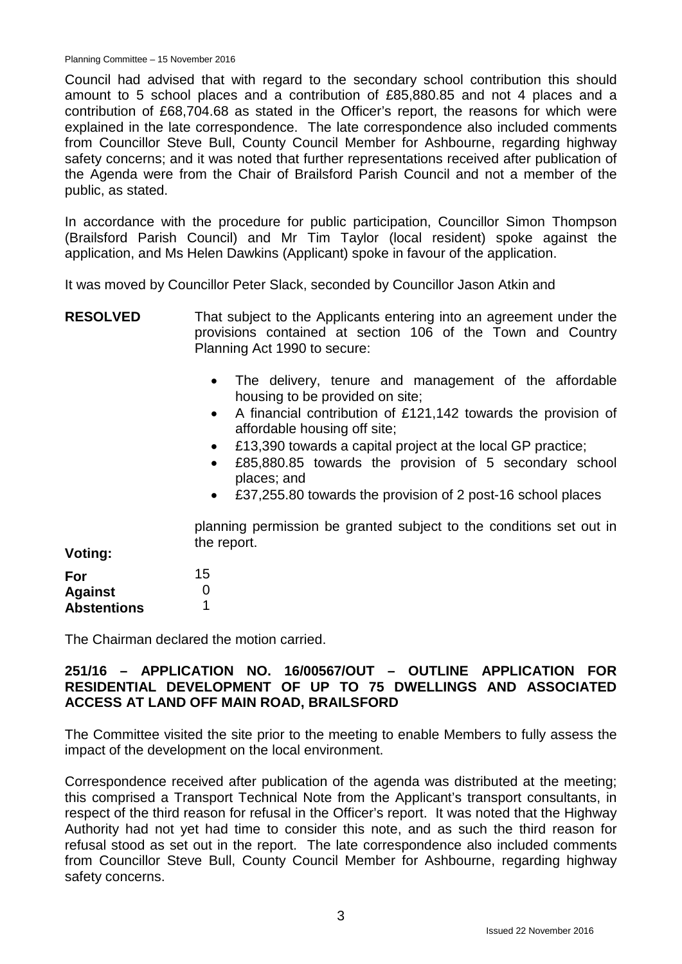Council had advised that with regard to the secondary school contribution this should amount to 5 school places and a contribution of £85,880.85 and not 4 places and a contribution of £68,704.68 as stated in the Officer's report, the reasons for which were explained in the late correspondence. The late correspondence also included comments from Councillor Steve Bull, County Council Member for Ashbourne, regarding highway safety concerns; and it was noted that further representations received after publication of the Agenda were from the Chair of Brailsford Parish Council and not a member of the public, as stated.

In accordance with the procedure for public participation, Councillor Simon Thompson (Brailsford Parish Council) and Mr Tim Taylor (local resident) spoke against the application, and Ms Helen Dawkins (Applicant) spoke in favour of the application.

It was moved by Councillor Peter Slack, seconded by Councillor Jason Atkin and

**RESOLVED** That subject to the Applicants entering into an agreement under the provisions contained at section 106 of the Town and Country Planning Act 1990 to secure:

- The delivery, tenure and management of the affordable housing to be provided on site;
- A financial contribution of £121,142 towards the provision of affordable housing off site;
- £13,390 towards a capital project at the local GP practice;
- £85,880.85 towards the provision of 5 secondary school places; and
- £37,255.80 towards the provision of 2 post-16 school places

planning permission be granted subject to the conditions set out in the report.

**Voting:**

| For                | 15 |
|--------------------|----|
| <b>Against</b>     | O  |
| <b>Abstentions</b> |    |

The Chairman declared the motion carried.

## **251/16 – APPLICATION NO. 16/00567/OUT – OUTLINE APPLICATION FOR RESIDENTIAL DEVELOPMENT OF UP TO 75 DWELLINGS AND ASSOCIATED ACCESS AT LAND OFF MAIN ROAD, BRAILSFORD**

The Committee visited the site prior to the meeting to enable Members to fully assess the impact of the development on the local environment.

Correspondence received after publication of the agenda was distributed at the meeting; this comprised a Transport Technical Note from the Applicant's transport consultants, in respect of the third reason for refusal in the Officer's report. It was noted that the Highway Authority had not yet had time to consider this note, and as such the third reason for refusal stood as set out in the report. The late correspondence also included comments from Councillor Steve Bull, County Council Member for Ashbourne, regarding highway safety concerns.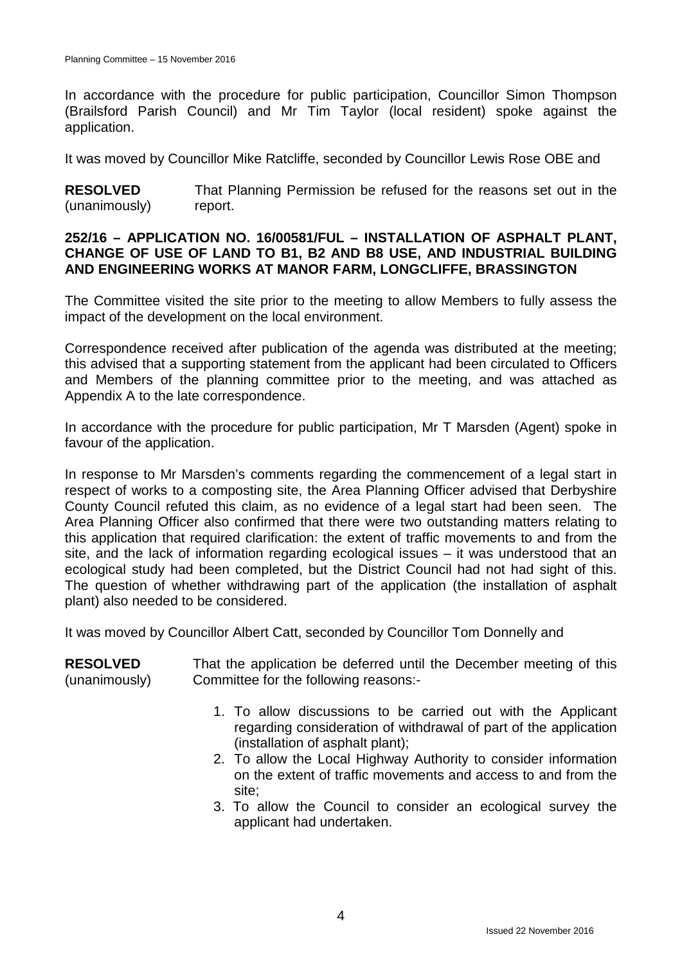In accordance with the procedure for public participation, Councillor Simon Thompson (Brailsford Parish Council) and Mr Tim Taylor (local resident) spoke against the application.

It was moved by Councillor Mike Ratcliffe, seconded by Councillor Lewis Rose OBE and

**RESOLVED** (unanimously) That Planning Permission be refused for the reasons set out in the report.

#### **252/16 – APPLICATION NO. 16/00581/FUL – INSTALLATION OF ASPHALT PLANT, CHANGE OF USE OF LAND TO B1, B2 AND B8 USE, AND INDUSTRIAL BUILDING AND ENGINEERING WORKS AT MANOR FARM, LONGCLIFFE, BRASSINGTON**

The Committee visited the site prior to the meeting to allow Members to fully assess the impact of the development on the local environment.

Correspondence received after publication of the agenda was distributed at the meeting; this advised that a supporting statement from the applicant had been circulated to Officers and Members of the planning committee prior to the meeting, and was attached as Appendix A to the late correspondence.

In accordance with the procedure for public participation, Mr T Marsden (Agent) spoke in favour of the application.

In response to Mr Marsden's comments regarding the commencement of a legal start in respect of works to a composting site, the Area Planning Officer advised that Derbyshire County Council refuted this claim, as no evidence of a legal start had been seen. The Area Planning Officer also confirmed that there were two outstanding matters relating to this application that required clarification: the extent of traffic movements to and from the site, and the lack of information regarding ecological issues – it was understood that an ecological study had been completed, but the District Council had not had sight of this. The question of whether withdrawing part of the application (the installation of asphalt plant) also needed to be considered.

It was moved by Councillor Albert Catt, seconded by Councillor Tom Donnelly and

| <b>RESOLVED</b><br>(unanimously) | That the application be deferred until the December meeting of this<br>Committee for the following reasons:-                                                                                                                                                                                                                                                                      |
|----------------------------------|-----------------------------------------------------------------------------------------------------------------------------------------------------------------------------------------------------------------------------------------------------------------------------------------------------------------------------------------------------------------------------------|
|                                  | 1. To allow discussions to be carried out with the Applicant<br>regarding consideration of withdrawal of part of the application<br>(installation of asphalt plant);<br>2. To allow the Local Highway Authority to consider information<br>on the extent of traffic movements and access to and from the<br>site;<br>3. To allow the Council to consider an ecological survey the |
|                                  | applicant had undertaken.                                                                                                                                                                                                                                                                                                                                                         |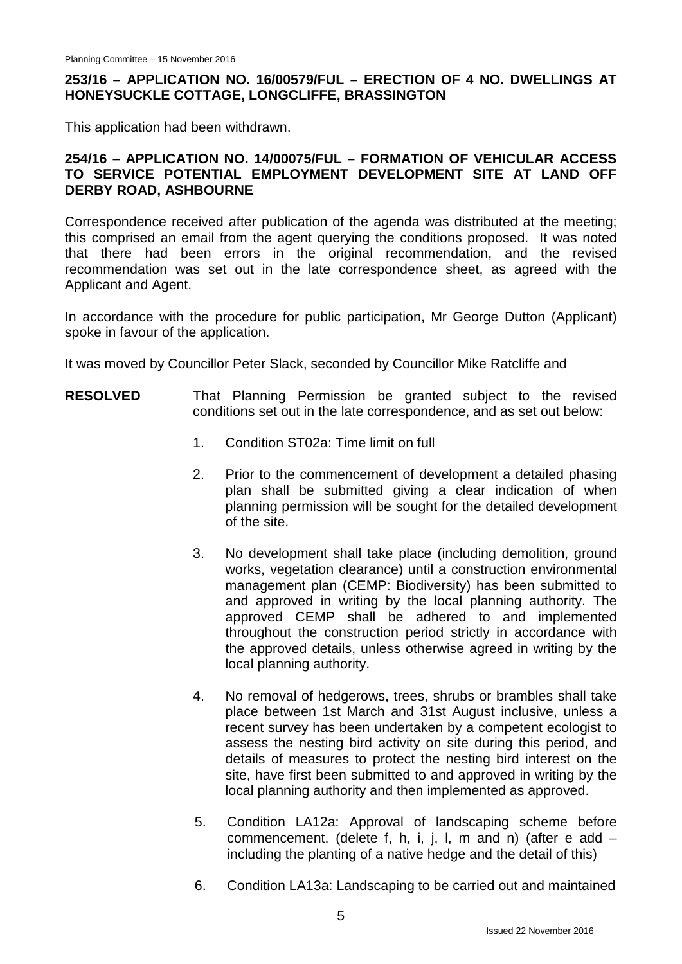## **253/16 – APPLICATION NO. 16/00579/FUL – ERECTION OF 4 NO. DWELLINGS AT HONEYSUCKLE COTTAGE, LONGCLIFFE, BRASSINGTON**

This application had been withdrawn.

## **254/16 – APPLICATION NO. 14/00075/FUL – FORMATION OF VEHICULAR ACCESS TO SERVICE POTENTIAL EMPLOYMENT DEVELOPMENT SITE AT LAND OFF DERBY ROAD, ASHBOURNE**

Correspondence received after publication of the agenda was distributed at the meeting; this comprised an email from the agent querying the conditions proposed. It was noted that there had been errors in the original recommendation, and the revised recommendation was set out in the late correspondence sheet, as agreed with the Applicant and Agent.

In accordance with the procedure for public participation, Mr George Dutton (Applicant) spoke in favour of the application.

It was moved by Councillor Peter Slack, seconded by Councillor Mike Ratcliffe and

- **RESOLVED** That Planning Permission be granted subject to the revised conditions set out in the late correspondence, and as set out below:
	- 1. Condition ST02a: Time limit on full
	- 2. Prior to the commencement of development a detailed phasing plan shall be submitted giving a clear indication of when planning permission will be sought for the detailed development of the site.
	- 3. No development shall take place (including demolition, ground works, vegetation clearance) until a construction environmental management plan (CEMP: Biodiversity) has been submitted to and approved in writing by the local planning authority. The approved CEMP shall be adhered to and implemented throughout the construction period strictly in accordance with the approved details, unless otherwise agreed in writing by the local planning authority.
	- 4. No removal of hedgerows, trees, shrubs or brambles shall take place between 1st March and 31st August inclusive, unless a recent survey has been undertaken by a competent ecologist to assess the nesting bird activity on site during this period, and details of measures to protect the nesting bird interest on the site, have first been submitted to and approved in writing by the local planning authority and then implemented as approved.
	- 5. Condition LA12a: Approval of landscaping scheme before commencement. (delete f, h, i, j, l, m and n) (after e add – including the planting of a native hedge and the detail of this)
	- 6. Condition LA13a: Landscaping to be carried out and maintained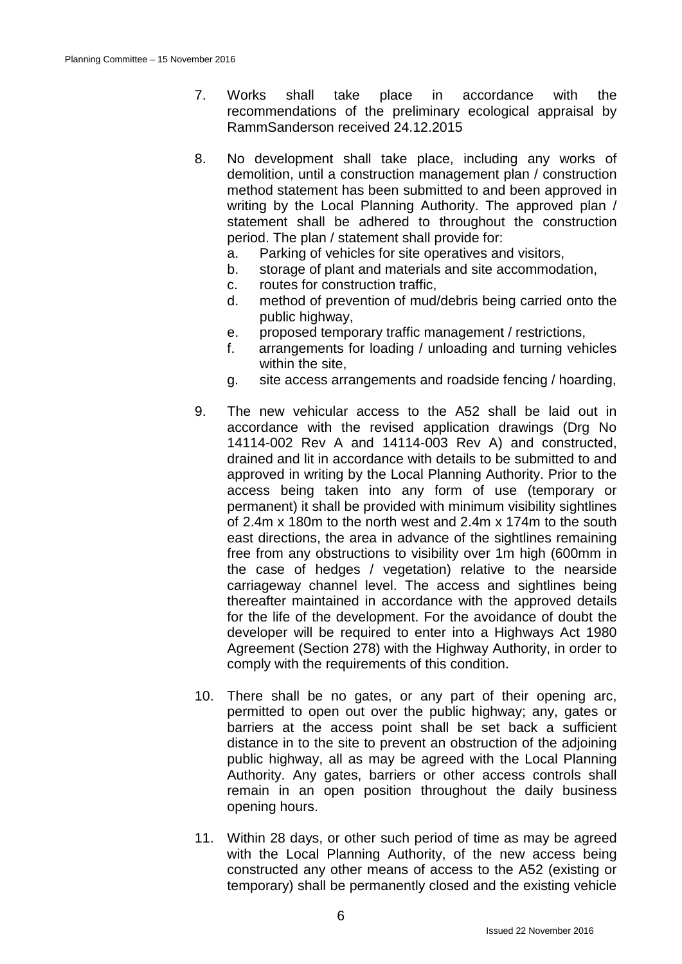- 7. Works shall take place in accordance with the recommendations of the preliminary ecological appraisal by RammSanderson received 24.12.2015
- 8. No development shall take place, including any works of demolition, until a construction management plan / construction method statement has been submitted to and been approved in writing by the Local Planning Authority. The approved plan / statement shall be adhered to throughout the construction period. The plan / statement shall provide for:
	- a. Parking of vehicles for site operatives and visitors,
	- b. storage of plant and materials and site accommodation,
	- c. routes for construction traffic,
	- d. method of prevention of mud/debris being carried onto the public highway,
	- e. proposed temporary traffic management / restrictions,
	- f. arrangements for loading / unloading and turning vehicles within the site,
	- g. site access arrangements and roadside fencing / hoarding,
- 9. The new vehicular access to the A52 shall be laid out in accordance with the revised application drawings (Drg No 14114-002 Rev A and 14114-003 Rev A) and constructed, drained and lit in accordance with details to be submitted to and approved in writing by the Local Planning Authority. Prior to the access being taken into any form of use (temporary or permanent) it shall be provided with minimum visibility sightlines of 2.4m x 180m to the north west and 2.4m x 174m to the south east directions, the area in advance of the sightlines remaining free from any obstructions to visibility over 1m high (600mm in the case of hedges / vegetation) relative to the nearside carriageway channel level. The access and sightlines being thereafter maintained in accordance with the approved details for the life of the development. For the avoidance of doubt the developer will be required to enter into a Highways Act 1980 Agreement (Section 278) with the Highway Authority, in order to comply with the requirements of this condition.
- 10. There shall be no gates, or any part of their opening arc, permitted to open out over the public highway; any, gates or barriers at the access point shall be set back a sufficient distance in to the site to prevent an obstruction of the adjoining public highway, all as may be agreed with the Local Planning Authority. Any gates, barriers or other access controls shall remain in an open position throughout the daily business opening hours.
- 11. Within 28 days, or other such period of time as may be agreed with the Local Planning Authority, of the new access being constructed any other means of access to the A52 (existing or temporary) shall be permanently closed and the existing vehicle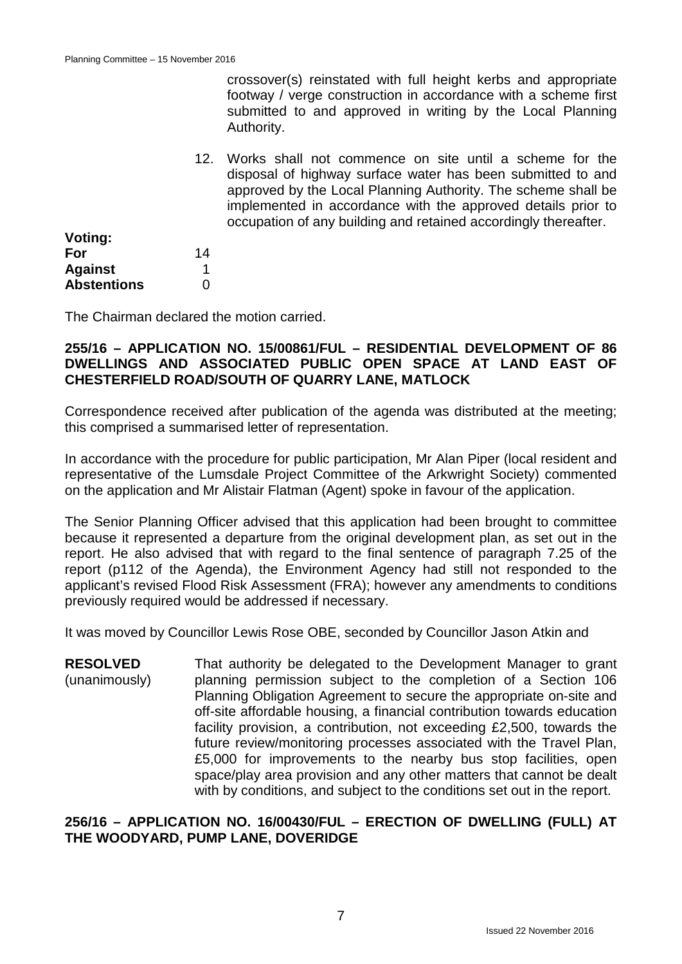crossover(s) reinstated with full height kerbs and appropriate footway / verge construction in accordance with a scheme first submitted to and approved in writing by the Local Planning Authority.

12. Works shall not commence on site until a scheme for the disposal of highway surface water has been submitted to and approved by the Local Planning Authority. The scheme shall be implemented in accordance with the approved details prior to occupation of any building and retained accordingly thereafter.

| 14 |
|----|
|    |
| 0  |
|    |

**Voting:**

The Chairman declared the motion carried.

#### **255/16 – APPLICATION NO. 15/00861/FUL – RESIDENTIAL DEVELOPMENT OF 86 DWELLINGS AND ASSOCIATED PUBLIC OPEN SPACE AT LAND EAST OF CHESTERFIELD ROAD/SOUTH OF QUARRY LANE, MATLOCK**

Correspondence received after publication of the agenda was distributed at the meeting; this comprised a summarised letter of representation.

In accordance with the procedure for public participation, Mr Alan Piper (local resident and representative of the Lumsdale Project Committee of the Arkwright Society) commented on the application and Mr Alistair Flatman (Agent) spoke in favour of the application.

The Senior Planning Officer advised that this application had been brought to committee because it represented a departure from the original development plan, as set out in the report. He also advised that with regard to the final sentence of paragraph 7.25 of the report (p112 of the Agenda), the Environment Agency had still not responded to the applicant's revised Flood Risk Assessment (FRA); however any amendments to conditions previously required would be addressed if necessary.

It was moved by Councillor Lewis Rose OBE, seconded by Councillor Jason Atkin and

**RESOLVED** (unanimously) That authority be delegated to the Development Manager to grant planning permission subject to the completion of a Section 106 Planning Obligation Agreement to secure the appropriate on-site and off-site affordable housing, a financial contribution towards education facility provision, a contribution, not exceeding £2,500, towards the future review/monitoring processes associated with the Travel Plan, £5,000 for improvements to the nearby bus stop facilities, open space/play area provision and any other matters that cannot be dealt with by conditions, and subject to the conditions set out in the report.

**256/16 – APPLICATION NO. 16/00430/FUL – ERECTION OF DWELLING (FULL) AT THE WOODYARD, PUMP LANE, DOVERIDGE**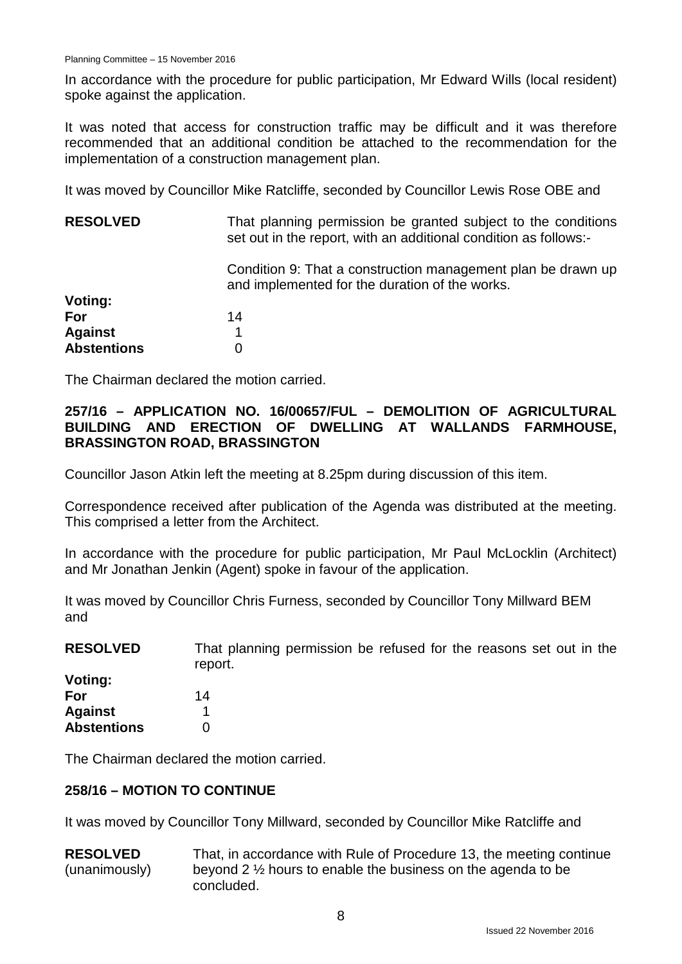In accordance with the procedure for public participation, Mr Edward Wills (local resident) spoke against the application.

It was noted that access for construction traffic may be difficult and it was therefore recommended that an additional condition be attached to the recommendation for the implementation of a construction management plan.

It was moved by Councillor Mike Ratcliffe, seconded by Councillor Lewis Rose OBE and

| <b>RESOLVED</b>    | That planning permission be granted subject to the conditions<br>set out in the report, with an additional condition as follows:- |
|--------------------|-----------------------------------------------------------------------------------------------------------------------------------|
|                    | Condition 9: That a construction management plan be drawn up<br>and implemented for the duration of the works.                    |
| Voting:            |                                                                                                                                   |
| For                | 14                                                                                                                                |
| <b>Against</b>     |                                                                                                                                   |
| <b>Abstentions</b> |                                                                                                                                   |

The Chairman declared the motion carried.

## **257/16 – APPLICATION NO. 16/00657/FUL – DEMOLITION OF AGRICULTURAL BUILDING AND ERECTION OF DWELLING AT WALLANDS FARMHOUSE, BRASSINGTON ROAD, BRASSINGTON**

Councillor Jason Atkin left the meeting at 8.25pm during discussion of this item.

Correspondence received after publication of the Agenda was distributed at the meeting. This comprised a letter from the Architect.

In accordance with the procedure for public participation, Mr Paul McLocklin (Architect) and Mr Jonathan Jenkin (Agent) spoke in favour of the application.

It was moved by Councillor Chris Furness, seconded by Councillor Tony Millward BEM and

| <b>RESOLVED</b> | That planning permission be refused for the reasons set out in the |
|-----------------|--------------------------------------------------------------------|
|                 | report.                                                            |
| Votina:         |                                                                    |

| .<br>For           | 14 |
|--------------------|----|
| <b>Against</b>     |    |
| <b>Abstentions</b> | 0  |

The Chairman declared the motion carried.

#### **258/16 – MOTION TO CONTINUE**

It was moved by Councillor Tony Millward, seconded by Councillor Mike Ratcliffe and

**RESOLVED** (unanimously) That, in accordance with Rule of Procedure 13, the meeting continue beyond 2 ½ hours to enable the business on the agenda to be concluded.